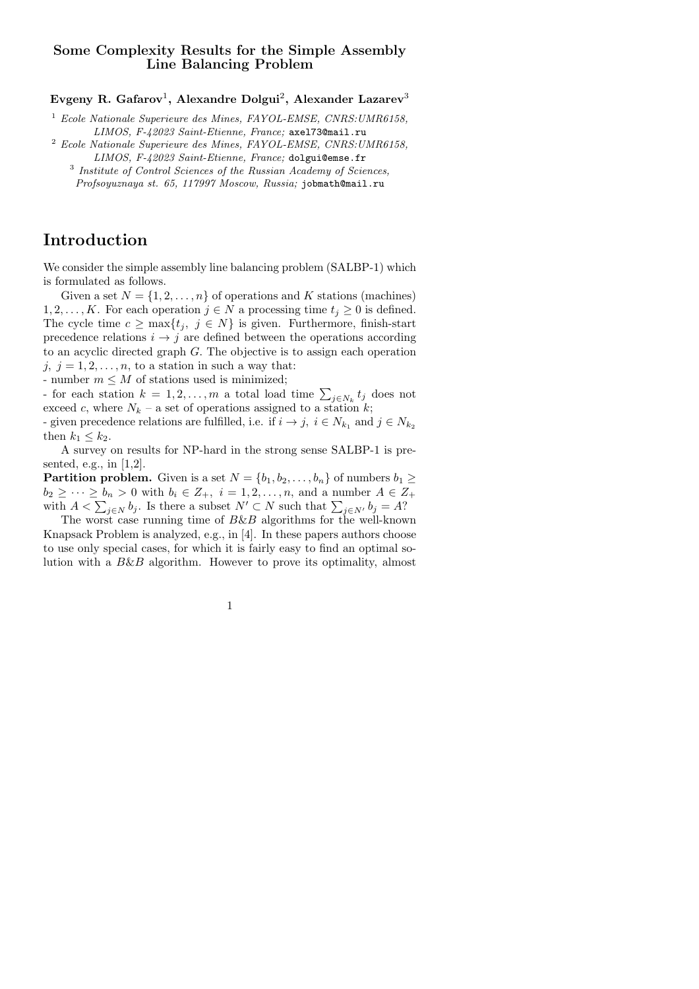# Some Complexity Results for the Simple Assembly Line Balancing Problem

Evgeny R. Gafarov $^1$ , Alexandre Dolgui $^2$ , Alexander Lazarev $^3$ 

 $1$  Ecole Nationale Superieure des Mines, FAYOL-EMSE, CNRS: UMR6158, LIMOS, F-42023 Saint-Etienne, France; axel73@mail.ru

- <sup>2</sup> Ecole Nationale Superieure des Mines, FAYOL-EMSE, CNRS:UMR6158, LIMOS, F-42023 Saint-Etienne, France; dolgui@emse.fr
	- <sup>3</sup> Institute of Control Sciences of the Russian Academy of Sciences, Profsoyuznaya st. 65, 117997 Moscow, Russia; jobmath@mail.ru

# Introduction

We consider the simple assembly line balancing problem (SALBP-1) which is formulated as follows.

Given a set  $N = \{1, 2, ..., n\}$  of operations and K stations (machines)  $1, 2, \ldots, K$ . For each operation  $j \in N$  a processing time  $t_j \geq 0$  is defined. The cycle time  $c \ge \max\{t_j, j \in N\}$  is given. Furthermore, finish-start precedence relations  $i \rightarrow j$  are defined between the operations according to an acyclic directed graph G. The objective is to assign each operation j,  $j = 1, 2, \ldots, n$ , to a station in such a way that:

- number  $m \leq M$  of stations used is minimized;

for each station  $k = 1, 2, ..., m$  a total load time  $\sum_{j \in N_k} t_j$  does not exceed c, where  $N_k$  – a set of operations assigned to a station k; - given precedence relations are fulfilled, i.e. if  $i \to j$ ,  $i \in N_{k_1}$  and  $j \in N_{k_2}$ then  $k_1 \leq k_2$ .

A survey on results for NP-hard in the strong sense SALBP-1 is presented, e.g., in [1,2].

**Partition problem.** Given is a set  $N = \{b_1, b_2, \ldots, b_n\}$  of numbers  $b_1 \geq$  $b_2 \geq \cdots \geq b_n > 0$  with  $b_i \in Z_+$ ,  $i = 1, 2, \ldots, n$ , and a number  $A \in Z_+$ with  $A < \sum_{j \in N} b_j$ . Is there a subset  $N' \subset N$  such that  $\sum_{j \in N'} b_j = A$ ?

The worst case running time of  $B\&B$  algorithms for the well-known Knapsack Problem is analyzed, e.g., in [4]. In these papers authors choose to use only special cases, for which it is fairly easy to find an optimal solution with a B&B algorithm. However to prove its optimality, almost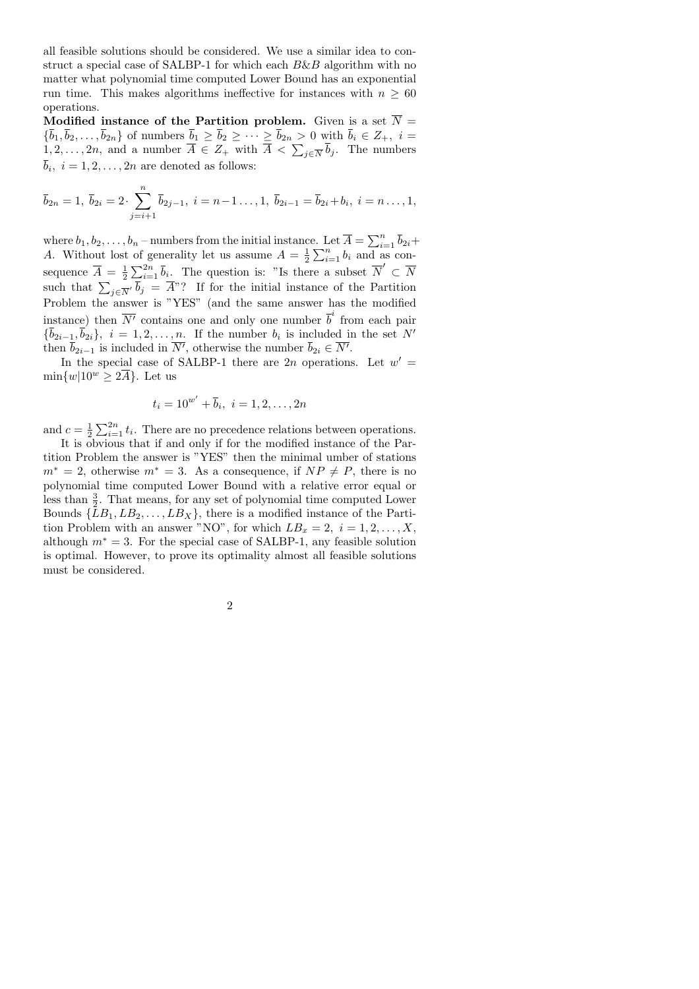all feasible solutions should be considered. We use a similar idea to construct a special case of SALBP-1 for which each  $B\&B$  algorithm with no matter what polynomial time computed Lower Bound has an exponential run time. This makes algorithms ineffective for instances with  $n > 60$ operations.

Modified instance of the Partition problem. Given is a set  $\overline{N}$  =  ${b_1, b_2, \ldots, b_{2n}}$  of numbers  $b_1 \ge b_2 \ge \cdots \ge b_{2n} > 0$  with  $b_i \in Z_+, i =$  $1, 2, \ldots, 2n$ , and a number  $A \in Z_+$  with  $A \langle \sum_{j \in \overline{N}} b_j \rangle$ . The numbers  $b_i, i = 1, 2, \ldots, 2n$  are denoted as follows:

$$
\bar{b}_{2n} = 1
$$
,  $\bar{b}_{2i} = 2 \cdot \sum_{j=i+1}^{n} \bar{b}_{2j-1}$ ,  $i = n-1 \dots, 1$ ,  $\bar{b}_{2i-1} = \bar{b}_{2i} + b_i$ ,  $i = n \dots, 1$ ,

where  $b_1, b_2, \ldots, b_n$  – numbers from the initial instance. Let  $\overline{A} = \sum_{i=1}^n \overline{b}_{2i} +$ A. Without lost of generality let us assume  $A = \frac{1}{2} \sum_{i=1}^{n} b_i$  and as consequence  $\overline{A} = \frac{1}{2} \sum_{i=1}^{2n} \overline{b}_i$ . The question is: "Is there a subset  $\overline{N}' \subset \overline{N}$ such that  $\sum_{j \in \overline{N}'} b_j = A^{\prime\prime}$ ? If for the initial instance of the Partition Problem the answer is "YES" (and the same answer has the modified instance) then  $\overline{N'}$  contains one and only one number  $\overline{b}^i$  from each pair  ${b_{2i-1}, b_{2i}}, i = 1, 2, \ldots, n$ . If the number  $b_i$  is included in the set N' then  $b_{2i-1}$  is included in N', otherwise the number  $b_{2i} \in N'$ .

In the special case of SALBP-1 there are 2n operations. Let  $w' =$  $\min\{w|10^w \geq 2\overline{A}\}\.$  Let us

$$
t_i = 10^{w'} + \overline{b}_i, \ i = 1, 2, \dots, 2n
$$

and  $c = \frac{1}{2} \sum_{i=1}^{2n} t_i$ . There are no precedence relations between operations.

It is obvious that if and only if for the modified instance of the Partition Problem the answer is "YES" then the minimal umber of stations  $m^* = 2$ , otherwise  $m^* = 3$ . As a consequence, if  $NP \neq P$ , there is no polynomial time computed Lower Bound with a relative error equal or less than  $\frac{3}{2}$ . That means, for any set of polynomial time computed Lower Bounds  ${LB_1, LB_2, \ldots, LB_X}$ , there is a modified instance of the Partition Problem with an answer "NO", for which  $LB_x = 2, i = 1, 2, ..., X$ , although  $m^* = 3$ . For the special case of SALBP-1, any feasible solution is optimal. However, to prove its optimality almost all feasible solutions must be considered.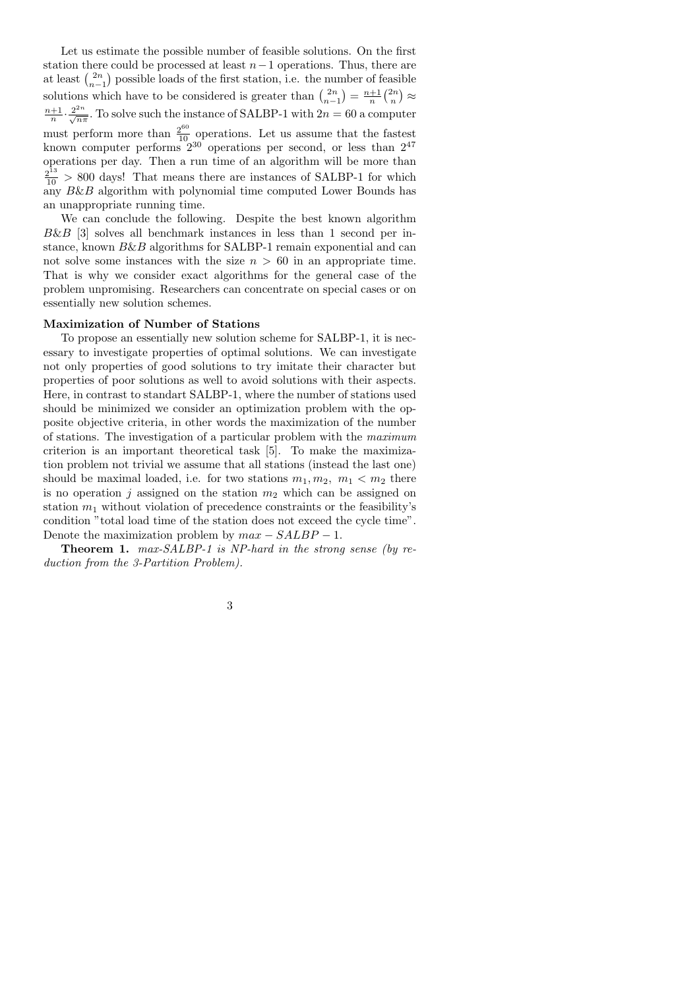Let us estimate the possible number of feasible solutions. On the first station there could be processed at least  $n-1$  operations. Thus, there are at least  $\binom{2n}{n-1}$  possible loads of the first station, i.e. the number of feasible  $n-1$ solutions which have to be considered is greater than  $\binom{2n}{n-1} = \frac{n+1}{n} \binom{2n}{n} \approx$  $\frac{n+1}{n} \cdot \frac{2^{2n}}{\sqrt{n\pi}}$ . To solve such the instance of SALBP-1 with  $2n = 60$  a computer must perform more than  $\frac{2^{60}}{10}$  operations. Let us assume that the fastest known computer performs  $2^{30}$  operations per second, or less than  $2^{47}$ operations per day. Then a run time of an algorithm will be more than  $\frac{2^{13}}{10}$  > 800 days! That means there are instances of SALBP-1 for which any B&B algorithm with polynomial time computed Lower Bounds has an unappropriate running time.

We can conclude the following. Despite the best known algorithm  $B\&B$  [3] solves all benchmark instances in less than 1 second per instance, known  $B\&B$  algorithms for SALBP-1 remain exponential and can not solve some instances with the size  $n > 60$  in an appropriate time. That is why we consider exact algorithms for the general case of the problem unpromising. Researchers can concentrate on special cases or on essentially new solution schemes.

## Maximization of Number of Stations

To propose an essentially new solution scheme for SALBP-1, it is necessary to investigate properties of optimal solutions. We can investigate not only properties of good solutions to try imitate their character but properties of poor solutions as well to avoid solutions with their aspects. Here, in contrast to standart SALBP-1, where the number of stations used should be minimized we consider an optimization problem with the opposite objective criteria, in other words the maximization of the number of stations. The investigation of a particular problem with the maximum criterion is an important theoretical task [5]. To make the maximization problem not trivial we assume that all stations (instead the last one) should be maximal loaded, i.e. for two stations  $m_1, m_2, m_1 < m_2$  there is no operation j assigned on the station  $m_2$  which can be assigned on station  $m_1$  without violation of precedence constraints or the feasibility's condition "total load time of the station does not exceed the cycle time". Denote the maximization problem by  $max - SALBP - 1$ .

Theorem 1. max-SALBP-1 is NP-hard in the strong sense (by reduction from the 3-Partition Problem).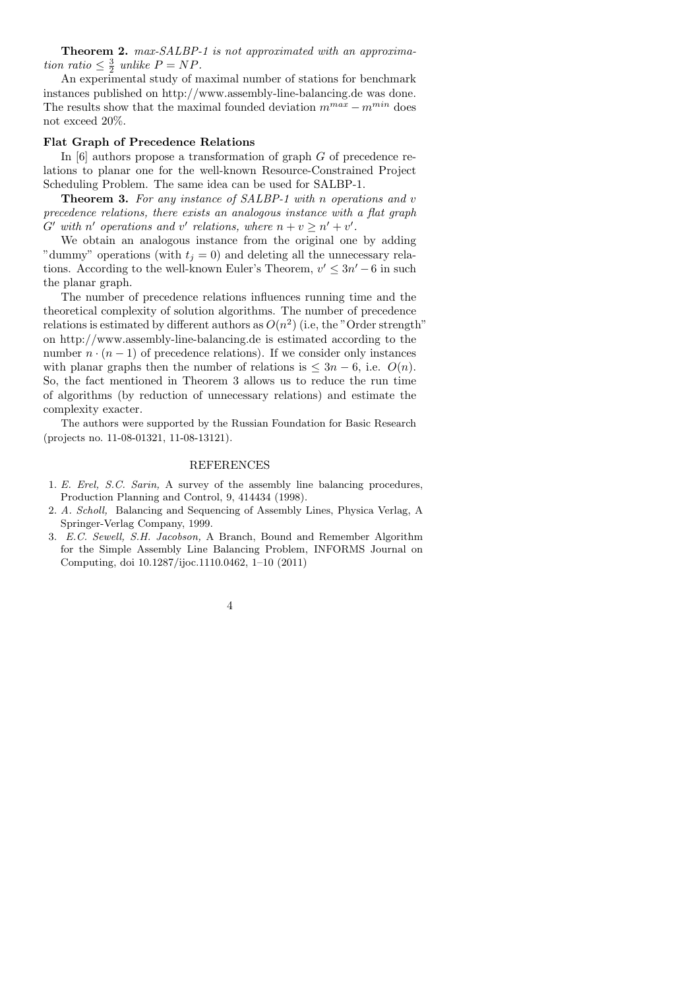Theorem 2. max-SALBP-1 is not approximated with an approximation ratio  $\leq \frac{3}{2}$  unlike  $P = NP$ .

An experimental study of maximal number of stations for benchmark instances published on http://www.assembly-line-balancing.de was done. The results show that the maximal founded deviation  $m^{max} - m^{min}$  does not exceed 20%.

#### Flat Graph of Precedence Relations

In [6] authors propose a transformation of graph G of precedence relations to planar one for the well-known Resource-Constrained Project Scheduling Problem. The same idea can be used for SALBP-1.

Theorem 3. For any instance of SALBP-1 with n operations and v precedence relations, there exists an analogous instance with a flat graph  $G'$  with n' operations and v' relations, where  $n + v \geq n' + v'$ .

We obtain an analogous instance from the original one by adding "dummy" operations (with  $t_j = 0$ ) and deleting all the unnecessary relations. According to the well-known Euler's Theorem,  $v' \leq 3n' - 6$  in such the planar graph.

The number of precedence relations influences running time and the theoretical complexity of solution algorithms. The number of precedence relations is estimated by different authors as  $O(n^2)$  (i.e, the "Order strength" on http://www.assembly-line-balancing.de is estimated according to the number  $n \cdot (n-1)$  of precedence relations). If we consider only instances with planar graphs then the number of relations is  $\leq 3n - 6$ , i.e.  $O(n)$ . So, the fact mentioned in Theorem 3 allows us to reduce the run time of algorithms (by reduction of unnecessary relations) and estimate the complexity exacter.

The authors were supported by the Russian Foundation for Basic Research (projects no. 11-08-01321, 11-08-13121).

### REFERENCES

- 1. E. Erel, S.C. Sarin, A survey of the assembly line balancing procedures, Production Planning and Control, 9, 414434 (1998).
- 2. A. Scholl, Balancing and Sequencing of Assembly Lines, Physica Verlag, A Springer-Verlag Company, 1999.
- 3. E.C. Sewell, S.H. Jacobson, A Branch, Bound and Remember Algorithm for the Simple Assembly Line Balancing Problem, INFORMS Journal on Computing, doi 10.1287/ijoc.1110.0462, 1–10 (2011)